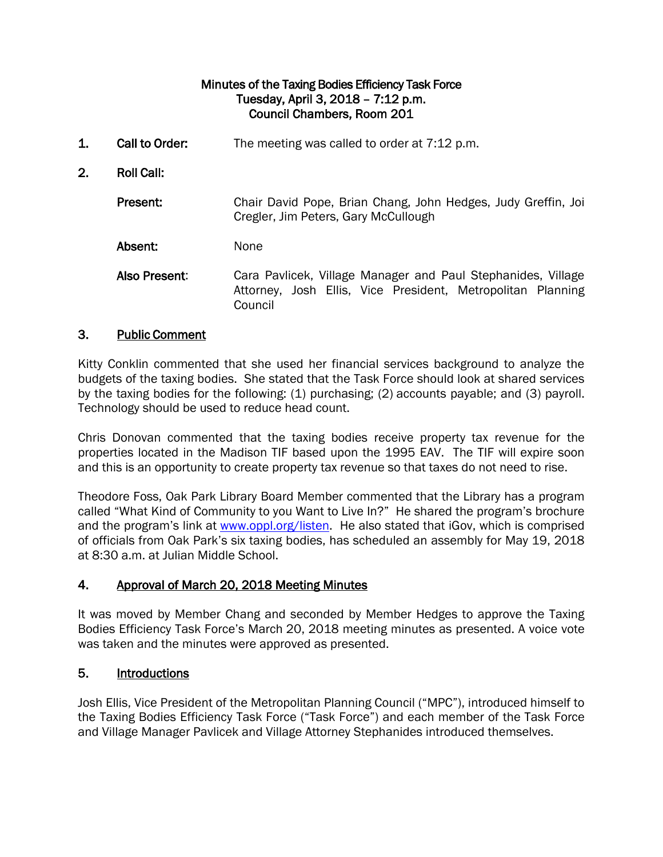### Minutes of the Taxing Bodies Efficiency Task Force Tuesday, April 3, 2018 – 7:12 p.m. Council Chambers, Room 201

1. Call to Order: The meeting was called to order at 7:12 p.m. 2. Roll Call: Present: Chair David Pope, Brian Chang, John Hedges, Judy Greffin, Joi Cregler, Jim Peters, Gary McCullough Absent: None Also Present: Cara Pavlicek, Village Manager and Paul Stephanides, Village Attorney, Josh Ellis, Vice President, Metropolitan Planning Council

### 3. Public Comment

Kitty Conklin commented that she used her financial services background to analyze the budgets of the taxing bodies. She stated that the Task Force should look at shared services by the taxing bodies for the following: (1) purchasing; (2) accounts payable; and (3) payroll. Technology should be used to reduce head count.

Chris Donovan commented that the taxing bodies receive property tax revenue for the properties located in the Madison TIF based upon the 1995 EAV. The TIF will expire soon and this is an opportunity to create property tax revenue so that taxes do not need to rise.

Theodore Foss, Oak Park Library Board Member commented that the Library has a program called "What Kind of Community to you Want to Live In?" He shared the program's brochure and the program's link at [www.oppl.org/listen.](http://www.oppl.org/listen) He also stated that iGov, which is comprised of officials from Oak Park's six taxing bodies, has scheduled an assembly for May 19, 2018 at 8:30 a.m. at Julian Middle School.

### 4. Approval of March 20, 2018 Meeting Minutes

It was moved by Member Chang and seconded by Member Hedges to approve the Taxing Bodies Efficiency Task Force's March 20, 2018 meeting minutes as presented. A voice vote was taken and the minutes were approved as presented.

### 5. Introductions

Josh Ellis, Vice President of the Metropolitan Planning Council ("MPC"), introduced himself to the Taxing Bodies Efficiency Task Force ("Task Force") and each member of the Task Force and Village Manager Pavlicek and Village Attorney Stephanides introduced themselves.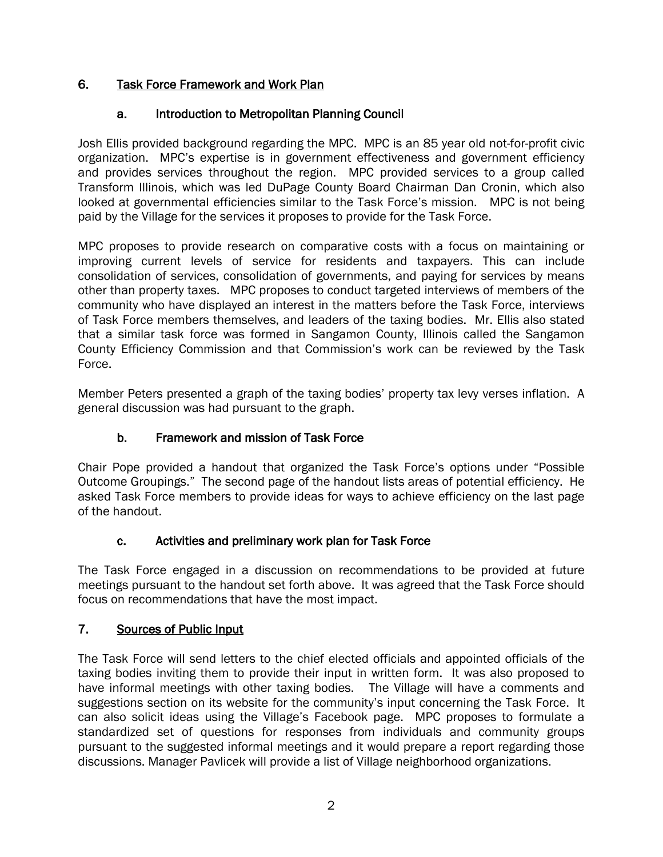## 6. Task Force Framework and Work Plan

### a. Introduction to Metropolitan Planning Council

Josh Ellis provided background regarding the MPC. MPC is an 85 year old not-for-profit civic organization. MPC's expertise is in government effectiveness and government efficiency and provides services throughout the region. MPC provided services to a group called Transform Illinois, which was led DuPage County Board Chairman Dan Cronin, which also looked at governmental efficiencies similar to the Task Force's mission. MPC is not being paid by the Village for the services it proposes to provide for the Task Force.

MPC proposes to provide research on comparative costs with a focus on maintaining or improving current levels of service for residents and taxpayers. This can include consolidation of services, consolidation of governments, and paying for services by means other than property taxes. MPC proposes to conduct targeted interviews of members of the community who have displayed an interest in the matters before the Task Force, interviews of Task Force members themselves, and leaders of the taxing bodies. Mr. Ellis also stated that a similar task force was formed in Sangamon County, Illinois called the Sangamon County Efficiency Commission and that Commission's work can be reviewed by the Task Force.

Member Peters presented a graph of the taxing bodies' property tax levy verses inflation. A general discussion was had pursuant to the graph.

# b. Framework and mission of Task Force

Chair Pope provided a handout that organized the Task Force's options under "Possible Outcome Groupings." The second page of the handout lists areas of potential efficiency. He asked Task Force members to provide ideas for ways to achieve efficiency on the last page of the handout.

### c. Activities and preliminary work plan for Task Force

The Task Force engaged in a discussion on recommendations to be provided at future meetings pursuant to the handout set forth above. It was agreed that the Task Force should focus on recommendations that have the most impact.

# 7. Sources of Public Input

The Task Force will send letters to the chief elected officials and appointed officials of the taxing bodies inviting them to provide their input in written form. It was also proposed to have informal meetings with other taxing bodies. The Village will have a comments and suggestions section on its website for the community's input concerning the Task Force. It can also solicit ideas using the Village's Facebook page. MPC proposes to formulate a standardized set of questions for responses from individuals and community groups pursuant to the suggested informal meetings and it would prepare a report regarding those discussions. Manager Pavlicek will provide a list of Village neighborhood organizations.